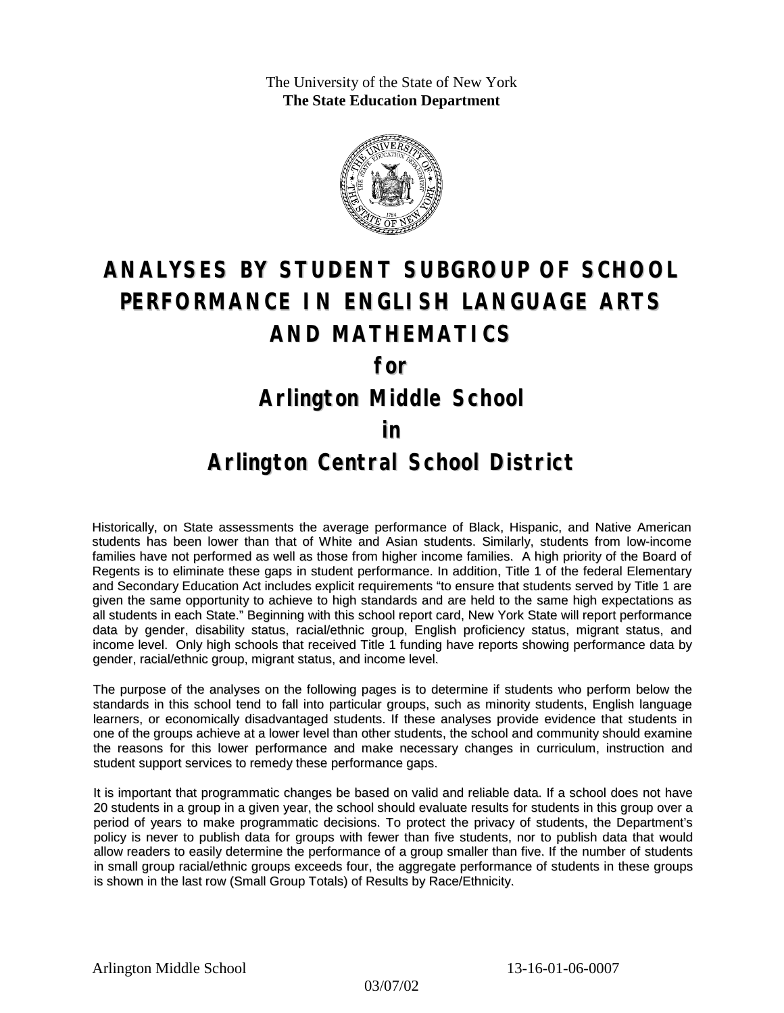The University of the State of New York **The State Education Department**



# **ANALYSES BY STUDENT SUBGROUP OF SCHOOL PERFORMANCE IN ENGLISH LANGUAGE ARTS AND MATHEMATICS for**

### **Arlington Middle School**

#### **in**

### **Arlington Central School District**

Historically, on State assessments the average performance of Black, Hispanic, and Native American students has been lower than that of White and Asian students. Similarly, students from low-income families have not performed as well as those from higher income families. A high priority of the Board of Regents is to eliminate these gaps in student performance. In addition, Title 1 of the federal Elementary and Secondary Education Act includes explicit requirements "to ensure that students served by Title 1 are given the same opportunity to achieve to high standards and are held to the same high expectations as all students in each State." Beginning with this school report card, New York State will report performance data by gender, disability status, racial/ethnic group, English proficiency status, migrant status, and income level. Only high schools that received Title 1 funding have reports showing performance data by gender, racial/ethnic group, migrant status, and income level.

The purpose of the analyses on the following pages is to determine if students who perform below the standards in this school tend to fall into particular groups, such as minority students, English language learners, or economically disadvantaged students. If these analyses provide evidence that students in one of the groups achieve at a lower level than other students, the school and community should examine the reasons for this lower performance and make necessary changes in curriculum, instruction and student support services to remedy these performance gaps.

It is important that programmatic changes be based on valid and reliable data. If a school does not have 20 students in a group in a given year, the school should evaluate results for students in this group over a period of years to make programmatic decisions. To protect the privacy of students, the Department's policy is never to publish data for groups with fewer than five students, nor to publish data that would allow readers to easily determine the performance of a group smaller than five. If the number of students in small group racial/ethnic groups exceeds four, the aggregate performance of students in these groups is shown in the last row (Small Group Totals) of Results by Race/Ethnicity.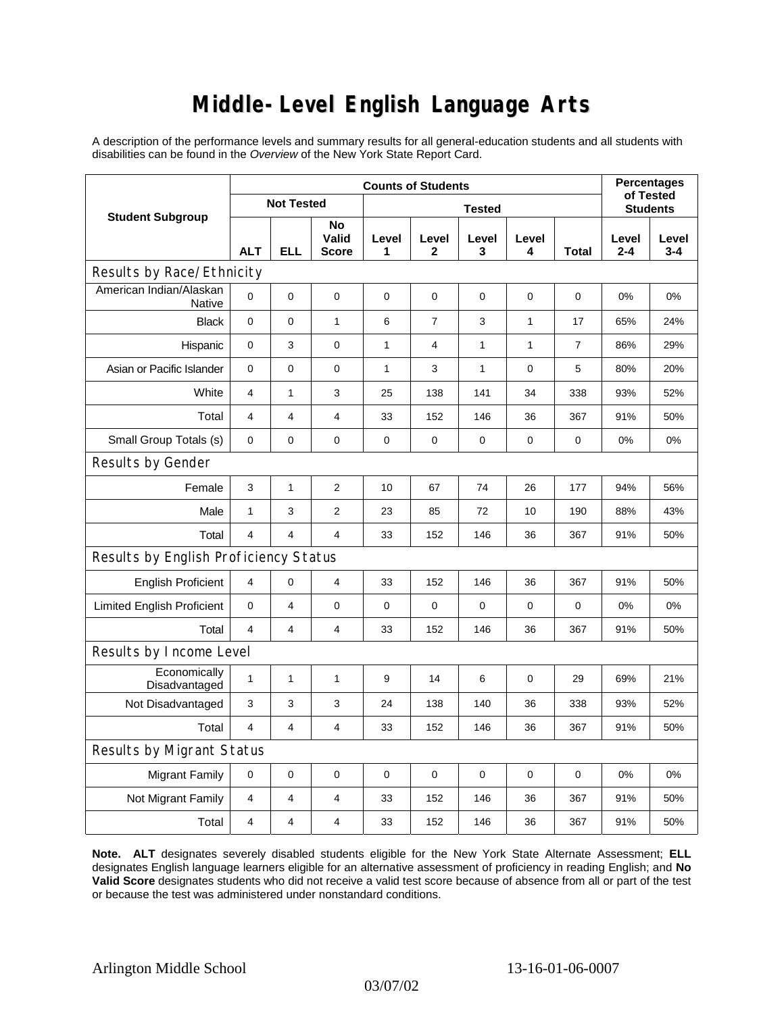## **Middle-Level English Language Arts**

A description of the performance levels and summary results for all general-education students and all students with disabilities can be found in the *Overview* of the New York State Report Card.

| <b>Student Subgroup</b>                  | <b>Counts of Students</b> |                         |                             |               |                      |              |              |                | <b>Percentages</b><br>of Tested |                  |
|------------------------------------------|---------------------------|-------------------------|-----------------------------|---------------|----------------------|--------------|--------------|----------------|---------------------------------|------------------|
|                                          | <b>Not Tested</b>         |                         |                             | <b>Tested</b> |                      |              |              |                | <b>Students</b>                 |                  |
|                                          | <b>ALT</b>                | <b>ELL</b>              | No<br>Valid<br><b>Score</b> | Level<br>1    | Level<br>$\mathbf 2$ | Level<br>3   | Level<br>4   | <b>Total</b>   | Level<br>$2 - 4$                | Level<br>$3 - 4$ |
| Results by Race/Ethnicity                |                           |                         |                             |               |                      |              |              |                |                                 |                  |
| American Indian/Alaskan<br><b>Native</b> | $\Omega$                  | 0                       | 0                           | $\mathbf 0$   | $\mathbf 0$          | 0            | $\mathbf 0$  | 0              | 0%                              | 0%               |
| <b>Black</b>                             | 0                         | 0                       | $\mathbf{1}$                | 6             | $\overline{7}$       | 3            | $\mathbf{1}$ | 17             | 65%                             | 24%              |
| Hispanic                                 | 0                         | 3                       | $\pmb{0}$                   | 1             | 4                    | $\mathbf{1}$ | 1            | $\overline{7}$ | 86%                             | 29%              |
| Asian or Pacific Islander                | 0                         | 0                       | $\mathbf 0$                 | 1             | 3                    | $\mathbf{1}$ | $\mathbf 0$  | 5              | 80%                             | 20%              |
| White                                    | 4                         | 1                       | 3                           | 25            | 138                  | 141          | 34           | 338            | 93%                             | 52%              |
| Total                                    | 4                         | 4                       | 4                           | 33            | 152                  | 146          | 36           | 367            | 91%                             | 50%              |
| Small Group Totals (s)                   | 0                         | 0                       | $\pmb{0}$                   | $\pmb{0}$     | $\mathbf 0$          | 0            | $\mathbf 0$  | $\mathbf 0$    | 0%                              | 0%               |
| Results by Gender                        |                           |                         |                             |               |                      |              |              |                |                                 |                  |
| Female                                   | 3                         | $\mathbf{1}$            | $\overline{2}$              | 10            | 67                   | 74           | 26           | 177            | 94%                             | 56%              |
| Male                                     | $\mathbf{1}$              | 3                       | $\overline{2}$              | 23            | 85                   | 72           | 10           | 190            | 88%                             | 43%              |
| Total                                    | 4                         | 4                       | $\overline{4}$              | 33            | 152                  | 146          | 36           | 367            | 91%                             | 50%              |
| Results by English Proficiency Status    |                           |                         |                             |               |                      |              |              |                |                                 |                  |
| <b>English Proficient</b>                | 4                         | 0                       | $\overline{\mathbf{4}}$     | 33            | 152                  | 146          | 36           | 367            | 91%                             | 50%              |
| <b>Limited English Proficient</b>        | 0                         | 4                       | $\pmb{0}$                   | $\pmb{0}$     | $\mathbf 0$          | 0            | $\mathbf 0$  | 0              | 0%                              | 0%               |
| Total                                    | 4                         | 4                       | $\overline{4}$              | 33            | 152                  | 146          | 36           | 367            | 91%                             | 50%              |
| Results by Income Level                  |                           |                         |                             |               |                      |              |              |                |                                 |                  |
| Economically<br>Disadvantaged            | $\mathbf{1}$              | 1                       | $\mathbf{1}$                | 9             | 14                   | 6            | $\mathbf 0$  | 29             | 69%                             | 21%              |
| Not Disadvantaged                        | 3                         | 3                       | 3                           | 24            | 138                  | 140          | 36           | 338            | 93%                             | 52%              |
| Total                                    | 4                         | $\overline{\mathbf{4}}$ | $\overline{4}$              | 33            | 152                  | 146          | 36           | 367            | 91%                             | 50%              |
| <b>Results by Migrant Status</b>         |                           |                         |                             |               |                      |              |              |                |                                 |                  |
| <b>Migrant Family</b>                    | 0                         | 0                       | 0                           | $\mathbf 0$   | $\mathbf 0$          | 0            | $\mathbf 0$  | 0              | 0%                              | 0%               |
| Not Migrant Family                       | 4                         | 4                       | 4                           | 33            | 152                  | 146          | 36           | 367            | 91%                             | 50%              |
| Total                                    | 4                         | 4                       | $\overline{\mathbf{4}}$     | 33            | 152                  | 146          | 36           | 367            | 91%                             | 50%              |

**Note. ALT** designates severely disabled students eligible for the New York State Alternate Assessment; **ELL** designates English language learners eligible for an alternative assessment of proficiency in reading English; and **No Valid Score** designates students who did not receive a valid test score because of absence from all or part of the test or because the test was administered under nonstandard conditions.